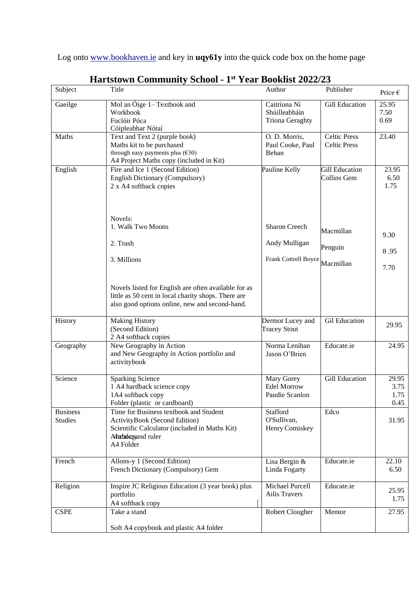Log onto [www.bookhaven.ie](http://www.bookhaven.ie/) and key in **uqy61y** into the quick code box on the home page

| Subject                           | Title                                                                                                                                                                        | Author                                                    | Publisher                                  | Price $\epsilon$              |
|-----------------------------------|------------------------------------------------------------------------------------------------------------------------------------------------------------------------------|-----------------------------------------------------------|--------------------------------------------|-------------------------------|
| Gaeilge                           | Mol an Óige $1 -$ Textbook and<br>Workbook<br>Foclóir Póca<br>Cóipleabhar Nótaí                                                                                              | Caitríona Ní<br>Shúilleabháin<br><b>Triona Geraghty</b>   | <b>Gill Education</b>                      | 25.95<br>7.50<br>0.69         |
| Maths                             | Text and Text 2 (purple book)<br>Maths kit to be purchased<br>through easy payments plus $(\text{\textsterling}30)$<br>A4 Project Maths copy (included in Kit)               | O. D. Morris,<br>Paul Cooke, Paul<br>Behan                | <b>Celtic Press</b><br><b>Celtic Press</b> | 23.40                         |
| English                           | Fire and Ice 1 (Second Edition)<br>English Dictionary (Compulsory)<br>2 x A4 softback copies                                                                                 | Pauline Kelly                                             | <b>Gill Education</b><br>Collins Gem       | 23.95<br>6.50<br>1.75         |
|                                   | Novels:<br>1. Walk Two Moons<br>2. Trash                                                                                                                                     | <b>Sharon Creech</b><br>Andy Mulligan                     | Macmillan<br>Penguin                       | 9.30<br>8.95                  |
|                                   | 3. Millions<br>Novels listed for English are often available for as<br>little as 50 cent in local charity shops. There are<br>also good options online, new and second-hand. | Frank Cottrell Boyce                                      | Macmillan                                  | 7.70                          |
| History                           | <b>Making History</b><br>(Second Edition)<br>2 A4 softback copies                                                                                                            | Dermot Lucey and<br><b>Tracey Stout</b>                   | <b>Gil Education</b>                       | 29.95                         |
| Geography                         | New Geography in Action<br>and New Geography in Action portfolio and<br>activitybook                                                                                         | Norma Lenihan<br>Jason O'Brien                            | Educate.ie                                 | 24.95                         |
| Science                           | <b>Sparking Science</b><br>1 A4 hardback science copy<br>1A4 softback copy<br>Folder (plastic or cardboard)                                                                  | <b>Mary Gorey</b><br><b>Edel Morrow</b><br>Paudie Scanlon | <b>Gill Education</b>                      | 29.95<br>3.75<br>1.75<br>0.45 |
| <b>Business</b><br><b>Studies</b> | Time for Business textbook and Student<br>ActivityBook (Second Edition)<br>Scientific Calculator (included in Maths Kit)<br>Ahrbakopand ruler<br>A4 Folder                   | Stafford<br>O'Sullivan,<br>Henry Comiskey                 | Edco                                       | 31.95                         |
| French                            | Allons-y 1 (Second Edition)<br>French Dictionary (Compulsory) Gem                                                                                                            | Lisa Bergin &<br>Linda Fogarty                            | Educate.ie                                 | 22.10<br>6.50                 |
| Religion                          | Inspire JC Religious Education (3 year book) plus<br>portfolio<br>A4 softback copy                                                                                           | Michael Purcell<br>Ailis Travers                          | Educate.ie                                 | 25.95<br>1.75                 |
| <b>CSPE</b>                       | Take a stand<br>Soft A4 copybook and plastic A4 folder                                                                                                                       | Robert Clougher                                           | Mentor                                     | 27.95                         |

## **Hartstown Community School - 1 st Year Booklist 2022/23**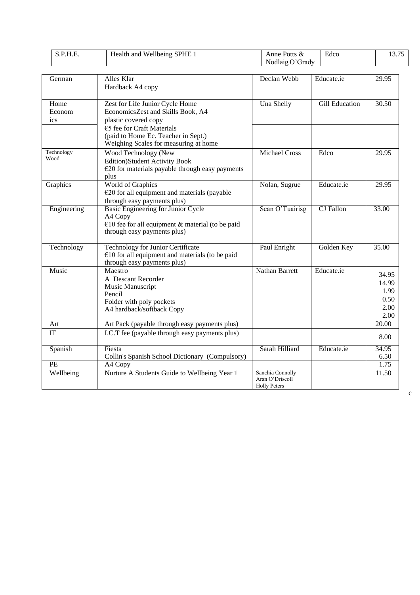| S.P.H.E.              | Health and Wellbeing SPHE 1                                                                                                                                                                                | Anne Potts &<br>Nodlaig O'Grady                            | Edco                  | 13.75                                          |
|-----------------------|------------------------------------------------------------------------------------------------------------------------------------------------------------------------------------------------------------|------------------------------------------------------------|-----------------------|------------------------------------------------|
| German                | Alles Klar<br>Hardback A4 copy                                                                                                                                                                             | Declan Webb                                                | Educate.ie            | 29.95                                          |
| Home<br>Econom<br>ics | Zest for Life Junior Cycle Home<br>EconomicsZest and Skills Book, A4<br>plastic covered copy<br>€5 fee for Craft Materials<br>(paid to Home Ec. Teacher in Sept.)<br>Weighing Scales for measuring at home | Una Shelly                                                 | <b>Gill Education</b> | 30.50                                          |
| Technology<br>Wood    | Wood Technology (New<br><b>Edition)Student Activity Book</b><br>$\epsilon$ 20 for materials payable through easy payments<br>plus                                                                          | <b>Michael Cross</b>                                       | Edco                  | 29.95                                          |
| Graphics              | World of Graphics<br>$E20$ for all equipment and materials (payable<br>through easy payments plus)                                                                                                         | Nolan, Sugrue                                              | Educate.ie            | 29.95                                          |
| Engineering           | Basic Engineering for Junior Cycle<br>A4 Copy<br>€10 fee for all equipment & material (to be paid<br>through easy payments plus)                                                                           | Sean O'Tuairisg                                            | <b>CJ</b> Fallon      | 33.00                                          |
| Technology            | <b>Technology for Junior Certificate</b><br>$€10$ for all equipment and materials (to be paid<br>through easy payments plus)                                                                               | Paul Enright                                               | Golden Key            | 35.00                                          |
| Music                 | Maestro<br>A Descant Recorder<br>Music Manuscript<br>Pencil<br>Folder with poly pockets<br>A4 hardback/softback Copy                                                                                       | Nathan Barrett                                             | Educate.ie            | 34.95<br>14.99<br>1.99<br>0.50<br>2.00<br>2.00 |
| Art                   | Art Pack (payable through easy payments plus)                                                                                                                                                              |                                                            |                       | 20.00                                          |
| IT                    | I.C.T fee (payable through easy payments plus)                                                                                                                                                             |                                                            |                       | 8.00                                           |
| Spanish               | Fiesta<br>Collin's Spanish School Dictionary (Compulsory)                                                                                                                                                  | Sarah Hilliard                                             | Educate.ie            | 34.95<br>6.50                                  |
| PE                    | A4 Copy                                                                                                                                                                                                    |                                                            |                       | 1.75                                           |
| Wellbeing             | Nurture A Students Guide to Wellbeing Year 1                                                                                                                                                               | Sanchia Connolly<br>Aran O'Driscoll<br><b>Holly Peters</b> |                       | 11.50                                          |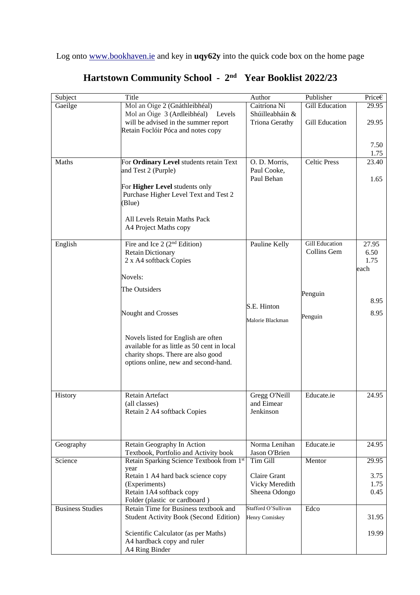Log onto [www.bookhaven.ie](http://www.bookhaven.ie/) and key in **uqy62y** into the quick code box on the home page

| Subject                 | Title                                         | Author                | Publisher             | Price $\epsilon$ |
|-------------------------|-----------------------------------------------|-----------------------|-----------------------|------------------|
| Gaeilge                 | Mol an Óige 2 (Gnáthleibhéal)                 | Caitríona Ní          | <b>Gill Education</b> | 29.95            |
|                         | Mol an Óige 3 (Ardleibhéal)<br>Levels         | Shúilleabháin &       |                       |                  |
|                         | will be advised in the summer report          | <b>Triona Gerathy</b> | <b>Gill Education</b> | 29.95            |
|                         | Retain Foclóir Póca and notes copy            |                       |                       |                  |
|                         |                                               |                       |                       |                  |
|                         |                                               |                       |                       | 7.50             |
|                         |                                               |                       |                       | 1.75             |
| Maths                   | For Ordinary Level students retain Text       | O. D. Morris,         | <b>Celtic Press</b>   | 23.40            |
|                         | and Test 2 (Purple)                           | Paul Cooke,           |                       |                  |
|                         |                                               | Paul Behan            |                       | 1.65             |
|                         | For Higher Level students only                |                       |                       |                  |
|                         | Purchase Higher Level Text and Test 2         |                       |                       |                  |
|                         | (Blue)                                        |                       |                       |                  |
|                         |                                               |                       |                       |                  |
|                         | All Levels Retain Maths Pack                  |                       |                       |                  |
|                         | A4 Project Maths copy                         |                       |                       |                  |
|                         | Fire and Ice $2(2nd Edition)$                 |                       | <b>Gill Education</b> |                  |
| English                 | <b>Retain Dictionary</b>                      | Pauline Kelly         | Collins Gem           | 27.95<br>6.50    |
|                         | 2 x A4 softback Copies                        |                       |                       | 1.75             |
|                         |                                               |                       |                       | each             |
|                         | Novels:                                       |                       |                       |                  |
|                         |                                               |                       |                       |                  |
|                         | The Outsiders                                 |                       | Penguin               |                  |
|                         |                                               |                       |                       | 8.95             |
|                         | Nought and Crosses                            | S.E. Hinton           |                       | 8.95             |
|                         |                                               | Malorie Blackman      | Penguin               |                  |
|                         |                                               |                       |                       |                  |
|                         | Novels listed for English are often           |                       |                       |                  |
|                         | available for as little as 50 cent in local   |                       |                       |                  |
|                         | charity shops. There are also good            |                       |                       |                  |
|                         | options online, new and second-hand.          |                       |                       |                  |
|                         |                                               |                       |                       |                  |
|                         |                                               |                       |                       |                  |
|                         |                                               |                       |                       |                  |
| History                 | Retain Artefact                               | Gregg O'Neill         | Educate.ie            | 24.95            |
|                         | (all classes)                                 | and Eimear            |                       |                  |
|                         | Retain 2 A4 softback Copies                   | Jenkinson             |                       |                  |
|                         |                                               |                       |                       |                  |
|                         |                                               |                       |                       |                  |
|                         |                                               |                       |                       |                  |
| Geography               | Retain Geography In Action                    | Norma Lenihan         | Educate.ie            | 24.95            |
|                         | Textbook, Portfolio and Activity book         | Jason O'Brien         |                       |                  |
| Science                 | Retain Sparking Science Textbook from 1st     | Tim Gill              | Mentor                | 29.95            |
|                         | year<br>Retain 1 A4 hard back science copy    | Claire Grant          |                       | 3.75             |
|                         | (Experiments)                                 | Vicky Meredith        |                       | 1.75             |
|                         | Retain 1A4 softback copy                      | Sheena Odongo         |                       | 0.45             |
|                         | Folder (plastic or cardboard)                 |                       |                       |                  |
| <b>Business Studies</b> | Retain Time for Business textbook and         | Stafford O'Sullivan   | Edco                  |                  |
|                         | <b>Student Activity Book (Second Edition)</b> | Henry Comiskey        |                       | 31.95            |
|                         |                                               |                       |                       |                  |
|                         | Scientific Calculator (as per Maths)          |                       |                       | 19.99            |
|                         | A4 hardback copy and ruler                    |                       |                       |                  |
|                         | A4 Ring Binder                                |                       |                       |                  |

# **Hartstown Community School - 2 nd Year Booklist 2022/23**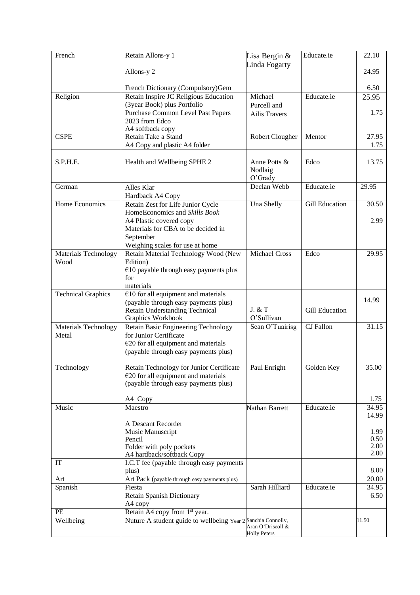| French                    | Retain Allons-y 1                                            | Lisa Bergin &          | Educate.ie            | 22.10        |
|---------------------------|--------------------------------------------------------------|------------------------|-----------------------|--------------|
|                           |                                                              | Linda Fogarty          |                       |              |
|                           | Allons-y 2                                                   |                        |                       | 24.95        |
|                           |                                                              |                        |                       |              |
|                           | French Dictionary (Compulsory)Gem                            |                        |                       | 6.50         |
| Religion                  | Retain Inspire JC Religious Education                        | Michael                | Educate.ie            | 25.95        |
|                           | (3year Book) plus Portfolio                                  | Purcell and            |                       |              |
|                           | Purchase Common Level Past Papers                            | <b>Ailis Travers</b>   |                       | 1.75         |
|                           | 2023 from Edco                                               |                        |                       |              |
|                           | A4 softback copy<br>Retain Take a Stand                      |                        |                       |              |
| <b>CSPE</b>               |                                                              | <b>Robert Clougher</b> | Mentor                | 27.95        |
|                           | A4 Copy and plastic A4 folder                                |                        |                       | 1.75         |
| S.P.H.E.                  | Health and Wellbeing SPHE 2                                  | Anne Potts &           | Edco                  | 13.75        |
|                           |                                                              | Nodlaig                |                       |              |
|                           |                                                              | O'Grady                |                       |              |
| German                    | Alles Klar                                                   | Declan Webb            | Educate.ie            | 29.95        |
|                           | Hardback A4 Copy                                             |                        |                       |              |
| Home Economics            | Retain Zest for Life Junior Cycle                            | Una Shelly             | <b>Gill Education</b> | 30.50        |
|                           | HomeEconomics and Skills Book                                |                        |                       |              |
|                           | A4 Plastic covered copy                                      |                        |                       | 2.99         |
|                           | Materials for CBA to be decided in                           |                        |                       |              |
|                           | September                                                    |                        |                       |              |
|                           | Weighing scales for use at home                              |                        |                       |              |
| Materials Technology      | Retain Material Technology Wood (New                         | <b>Michael Cross</b>   | Edco                  | 29.95        |
| Wood                      | Edition)                                                     |                        |                       |              |
|                           | $€10$ payable through easy payments plus                     |                        |                       |              |
|                           | for                                                          |                        |                       |              |
|                           | materials                                                    |                        |                       |              |
| <b>Technical Graphics</b> | $€10$ for all equipment and materials                        |                        |                       | 14.99        |
|                           | (payable through easy payments plus)                         |                        |                       |              |
|                           | Retain Understanding Technical                               | J. & T                 | Gill Education        |              |
|                           | Graphics Workbook                                            | O'Sullivan             |                       |              |
| Materials Technology      | Retain Basic Engineering Technology                          | Sean O'Tuairisg        | CJ Fallon             | 31.15        |
| Metal                     | for Junior Certificate                                       |                        |                       |              |
|                           | $€20$ for all equipment and materials                        |                        |                       |              |
|                           | (payable through easy payments plus)                         |                        |                       |              |
| Technology                | Retain Technology for Junior Certificate                     | Paul Enright           | Golden Key            | 35.00        |
|                           | $E20$ for all equipment and materials                        |                        |                       |              |
|                           | (payable through easy payments plus)                         |                        |                       |              |
|                           |                                                              |                        |                       |              |
|                           | A4 Copy                                                      |                        |                       | 1.75         |
| Music                     | Maestro                                                      | Nathan Barrett         | Educate.ie            | 34.95        |
|                           |                                                              |                        |                       | 14.99        |
|                           | A Descant Recorder                                           |                        |                       |              |
|                           | Music Manuscript                                             |                        |                       | 1.99         |
|                           | Pencil                                                       |                        |                       | 0.50         |
|                           | Folder with poly pockets                                     |                        |                       | 2.00<br>2.00 |
| IT                        | A4 hardback/softback Copy                                    |                        |                       |              |
|                           | I.C.T fee (payable through easy payments<br>plus)            |                        |                       | 8.00         |
| Art                       | Art Pack (payable through easy payments plus)                |                        |                       | 20.00        |
| Spanish                   | Fiesta                                                       | Sarah Hilliard         | Educate.ie            | 34.95        |
|                           | <b>Retain Spanish Dictionary</b>                             |                        |                       | 6.50         |
|                           | A4 copy                                                      |                        |                       |              |
| PE                        | Retain A4 copy from 1 <sup>st</sup> year.                    |                        |                       |              |
| Wellbeing                 | Nuture A student guide to wellbeing Year 2 Sanchia Connolly, |                        |                       | 11.50        |
|                           |                                                              | Aran O'Driscoll &      |                       |              |
|                           |                                                              | <b>Holly Peters</b>    |                       |              |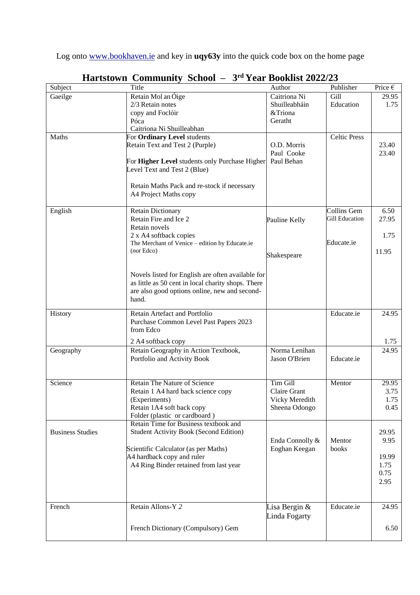Log onto [www.bookhaven.ie](http://www.bookhaven.ie/) and key in **uqy63y** into the quick code box on the home page

| Subject                 | Title                                                                                                   | Author          | Publisher                            | Price $\epsilon$ |
|-------------------------|---------------------------------------------------------------------------------------------------------|-----------------|--------------------------------------|------------------|
| Gaeilge                 | Retain Mol an Óige                                                                                      | Caitriona Ni    | Gill                                 | 29.95            |
|                         | 2/3 Retain notes                                                                                        | Shuilleabháin   | Education                            | 1.75             |
|                         | copy and Foclóir                                                                                        | &Triona         |                                      |                  |
|                         | Póca                                                                                                    | Geratht         |                                      |                  |
|                         | Caitriona Ni Shuilleabhan                                                                               |                 | <b>Celtic Press</b>                  |                  |
| Maths                   | For Ordinary Level students<br>Retain Text and Test 2 (Purple)                                          | O.D. Morris     |                                      | 23.40            |
|                         |                                                                                                         | Paul Cooke      |                                      | 23.40            |
|                         | For Higher Level students only Purchase Higher                                                          | Paul Behan      |                                      |                  |
|                         | Level Text and Test 2 (Blue)                                                                            |                 |                                      |                  |
|                         |                                                                                                         |                 |                                      |                  |
|                         | Retain Maths Pack and re-stock if necessary                                                             |                 |                                      |                  |
|                         | A4 Project Maths copy                                                                                   |                 |                                      |                  |
|                         |                                                                                                         |                 |                                      |                  |
| English                 | <b>Retain Dictionary</b>                                                                                |                 | Collins Gem<br><b>Gill Education</b> | 6.50             |
|                         | Retain Fire and Ice 2<br>Retain novels                                                                  | Pauline Kelly   |                                      | 27.95            |
|                         | 2 x A4 softback copies                                                                                  |                 |                                      | 1.75             |
|                         | The Merchant of Venice - edition by Educate.ie                                                          |                 | Educate.ie                           |                  |
|                         | (not Edco)                                                                                              |                 |                                      | 11.95            |
|                         |                                                                                                         | Shakespeare     |                                      |                  |
|                         |                                                                                                         |                 |                                      |                  |
|                         | Novels listed for English are often available for<br>as little as 50 cent in local charity shops. There |                 |                                      |                  |
|                         | are also good options online, new and second-                                                           |                 |                                      |                  |
|                         | hand.                                                                                                   |                 |                                      |                  |
|                         |                                                                                                         |                 |                                      |                  |
| History                 | Retain Artefact and Portfolio                                                                           |                 | Educate.ie                           | 24.95            |
|                         | Purchase Common Level Past Papers 2023<br>from Edco                                                     |                 |                                      |                  |
|                         |                                                                                                         |                 |                                      |                  |
|                         | 2 A4 softback copy                                                                                      |                 |                                      | 1.75             |
| Geography               | Retain Geography in Action Textbook,                                                                    | Norma Lenihan   |                                      | 24.95            |
|                         | Portfolio and Activity Book                                                                             | Jason O'Brien   | Educate.ie                           |                  |
|                         |                                                                                                         |                 |                                      |                  |
| Science                 | <b>Retain The Nature of Science</b>                                                                     | Tim Gill        | Mentor                               | 29.95            |
|                         | Retain 1 A4 hard back science copy                                                                      | Claire Grant    |                                      | 3.75             |
|                         | (Experiments)                                                                                           | Vicky Meredith  |                                      | 1.75             |
|                         | Retain 1A4 soft back copy                                                                               | Sheena Odongo   |                                      | 0.45             |
|                         | Folder (plastic or cardboard)                                                                           |                 |                                      |                  |
|                         | Retain Time for Business textbook and<br><b>Student Activity Book (Second Edition)</b>                  |                 |                                      |                  |
| <b>Business Studies</b> |                                                                                                         | Enda Connolly & | Mentor                               | 29.95<br>9.95    |
|                         | Scientific Calculator (as per Maths)                                                                    | Eoghan Keegan   | books                                |                  |
|                         | A4 hardback copy and ruler                                                                              |                 |                                      | 19.99            |
|                         | A4 Ring Binder retained from last year                                                                  |                 |                                      | 1.75             |
|                         |                                                                                                         |                 |                                      | 0.75             |
|                         |                                                                                                         |                 |                                      | 2.95             |
|                         |                                                                                                         |                 |                                      |                  |
|                         |                                                                                                         |                 |                                      |                  |
| French                  | Retain Allons-Y 2                                                                                       | Lisa Bergin $&$ | Educate.ie                           | 24.95            |
|                         |                                                                                                         | Linda Fogarty   |                                      |                  |
|                         | French Dictionary (Compulsory) Gem                                                                      |                 |                                      | 6.50             |
|                         |                                                                                                         |                 |                                      |                  |

#### **Hartstown Community School – 3 rd Year Booklist 2022/23**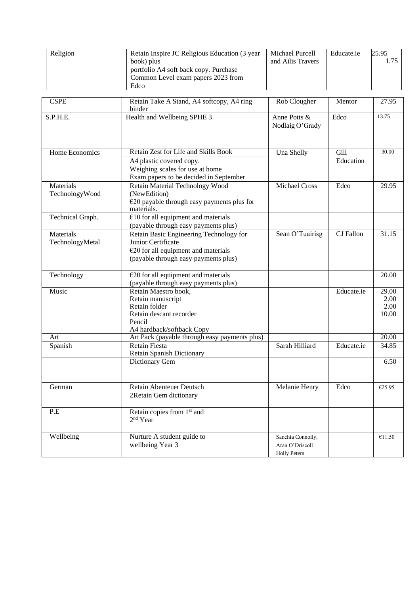| Religion         | Retain Inspire JC Religious Education (3 year<br>book) plus                 | Michael Purcell<br>and Ailis Travers | Educate.ie       | 25.95<br>1.75 |
|------------------|-----------------------------------------------------------------------------|--------------------------------------|------------------|---------------|
|                  | portfolio A4 soft back copy. Purchase<br>Common Level exam papers 2023 from |                                      |                  |               |
|                  | Edco                                                                        |                                      |                  |               |
| <b>CSPE</b>      | Retain Take A Stand, A4 softcopy, A4 ring<br>binder                         | Rob Clougher                         | Mentor           | 27.95         |
| S.P.H.E.         | Health and Wellbeing SPHE 3                                                 | Anne Potts &<br>Nodlaig O'Grady      | Edco             | 13.75         |
| Home Economics   | Retain Zest for Life and Skills Book                                        | Una Shelly                           | Gill             | 30.00         |
|                  | A4 plastic covered copy.                                                    |                                      | Education        |               |
|                  | Weighing scales for use at home                                             |                                      |                  |               |
|                  | Exam papers to be decided in September                                      |                                      |                  |               |
| Materials        | Retain Material Technology Wood                                             | <b>Michael Cross</b>                 | Edco             | 29.95         |
| TechnologyWood   | (NewEdition)                                                                |                                      |                  |               |
|                  | $€20$ payable through easy payments plus for<br>materials.                  |                                      |                  |               |
| Technical Graph. | $€10$ for all equipment and materials                                       |                                      |                  |               |
|                  | (payable through easy payments plus)                                        |                                      |                  |               |
| Materials        | Retain Basic Engineering Technology for                                     | Sean O'Tuairisg                      | <b>CJ</b> Fallon | 31.15         |
| TechnologyMetal  | Junior Certificate                                                          |                                      |                  |               |
|                  | $E$ 20 for all equipment and materials                                      |                                      |                  |               |
|                  | (payable through easy payments plus)                                        |                                      |                  |               |
| Technology       | $E$ 20 for all equipment and materials                                      |                                      |                  | 20.00         |
|                  | (payable through easy payments plus)                                        |                                      |                  |               |
| Music            | Retain Maestro book,                                                        |                                      | Educate.ie       | 29.00         |
|                  | Retain manuscript                                                           |                                      |                  | 2.00          |
|                  | Retain folder                                                               |                                      |                  | 2.00          |
|                  | Retain descant recorder<br>Pencil                                           |                                      |                  | 10.00         |
|                  | A4 hardback/softback Copy                                                   |                                      |                  |               |
| Art              | Art Pack (payable through easy payments plus)                               |                                      |                  | 20.00         |
| Spanish          | <b>Retain Fiesta</b>                                                        | Sarah Hilliard                       | Educate.ie       | 34.85         |
|                  | Retain Spanish Dictionary                                                   |                                      |                  |               |
|                  | Dictionary Gem                                                              |                                      |                  | 6.50          |
|                  |                                                                             |                                      |                  |               |
| German           | Retain Abenteuer Deutsch<br>2Retain Gem dictionary                          | Melanie Henry                        | Edco             | €25.95        |
|                  |                                                                             |                                      |                  |               |
| P.E              | Retain copies from 1 <sup>st</sup> and                                      |                                      |                  |               |
|                  | 2 <sup>nd</sup> Year                                                        |                                      |                  |               |
| Wellbeing        | Nurture A student guide to                                                  | Sanchia Connolly,                    |                  | €11.50        |
|                  | wellbeing Year 3                                                            | Aran O'Driscoll                      |                  |               |
|                  |                                                                             | <b>Holly Peters</b>                  |                  |               |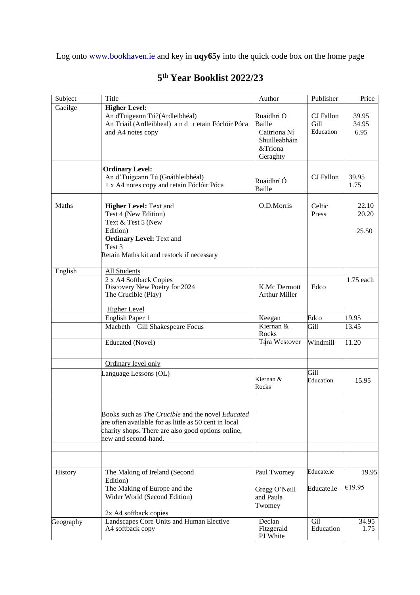Log onto [www.bookhaven.ie](http://www.bookhaven.ie/) and key in **uqy65y** into the quick code box on the home page

| Subject   | Title                                                                                                                                                                                    | Author                                                         | Publisher         | Price                   |
|-----------|------------------------------------------------------------------------------------------------------------------------------------------------------------------------------------------|----------------------------------------------------------------|-------------------|-------------------------|
| Gaeilge   | <b>Higher Level:</b><br>An dTuigeann Tú?(Ardleibhéal)                                                                                                                                    | Ruaidhri O                                                     | CJ Fallon         | 39.95                   |
|           | An Triail (Ardleibheal) and retain Fóclóir Póca<br>and A4 notes copy                                                                                                                     | Baille<br>Caitriona Ní<br>Shuilleabháin<br>&Triona<br>Geraghty | Gill<br>Education | 34.95<br>6.95           |
|           | <b>Ordinary Level:</b><br>An d'Tuigeann Tú (Gnáthleibhéal)<br>1 x A4 notes copy and retain Fóclóir Póca                                                                                  | Ruaidhrí Ó<br>Baille                                           | CJ Fallon         | 39.95<br>1.75           |
| Maths     | <b>Higher Level: Text and</b><br>Test 4 (New Edition)<br>Text & Test 5 (New<br>Edition)<br><b>Ordinary Level: Text and</b><br>Test 3<br>Retain Maths kit and restock if necessary        | O.D.Morris                                                     | Celtic<br>Press   | 22.10<br>20.20<br>25.50 |
| English   | <b>All Students</b>                                                                                                                                                                      |                                                                |                   |                         |
|           | 2 x A4 Softback Copies<br>Discovery New Poetry for 2024<br>The Crucible (Play)                                                                                                           | K.Mc Dermott<br><b>Arthur Miller</b>                           | Edco              | $1.75$ each             |
|           | <b>Higher Level</b>                                                                                                                                                                      |                                                                |                   |                         |
|           | English Paper 1                                                                                                                                                                          | Keegan                                                         | Edco              | 19.95                   |
|           | Macbeth - Gill Shakespeare Focus                                                                                                                                                         | Kiernan &<br>Rocks                                             | Gill              | 13.45                   |
|           | <b>Educated</b> (Novel)                                                                                                                                                                  | Tara Westover                                                  | Windmill          | 11.20                   |
|           | Ordinary level only                                                                                                                                                                      |                                                                |                   |                         |
|           | Language Lessons (OL)                                                                                                                                                                    | Kiernan &<br>Rocks                                             | Gill<br>Education | 15.95                   |
|           | Books such as The Crucible and the novel Educated<br>are often available for as little as 50 cent in local<br>charity shops. There are also good options online,<br>new and second-hand. |                                                                |                   |                         |
| History   | The Making of Ireland (Second                                                                                                                                                            | Paul Twomey                                                    | Educate.ie        | 19.95                   |
|           | Edition)<br>The Making of Europe and the<br>Wider World (Second Edition)                                                                                                                 | Gregg O'Neill<br>and Paula<br>Twomey                           | Educate.ie        | €19.95                  |
|           | 2x A4 softback copies                                                                                                                                                                    |                                                                |                   |                         |
| Geography | Landscapes Core Units and Human Elective<br>A4 softback copy                                                                                                                             | Declan<br>Fitzgerald<br>PJ White                               | Gil<br>Education  | 34.95<br>1.75           |

## **5 th Year Booklist 2022/23**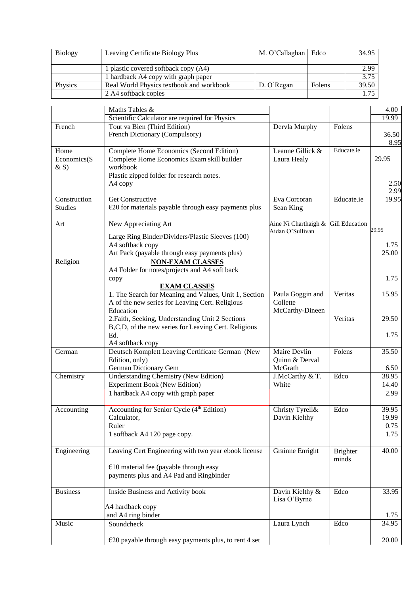| <b>Biology</b> | Leaving Certificate Biology Plus         | M. O'Callaghan   Edco |        | 34.95 |
|----------------|------------------------------------------|-----------------------|--------|-------|
|                |                                          |                       |        |       |
|                | 1 plastic covered softback copy (A4)     |                       |        | 2.99  |
|                | 1 hardback A4 copy with graph paper      |                       |        | 3.75  |
| Physics        | Real World Physics textbook and workbook | D. O'Regan            | Folens | 39.50 |
|                | 2 A4 softback copies                     |                       |        | 1.75  |

|                               | Maths Tables &                                                                                                                                             |                                                         |                          | 4.00          |
|-------------------------------|------------------------------------------------------------------------------------------------------------------------------------------------------------|---------------------------------------------------------|--------------------------|---------------|
|                               | Scientific Calculator are required for Physics                                                                                                             |                                                         |                          | 19.99         |
| French                        | Tout va Bien (Third Edition)<br>French Dictionary (Compulsory)                                                                                             | Dervla Murphy                                           | Folens                   | 36.50<br>8.95 |
| Home<br>Economics(S<br>$&$ S) | Complete Home Economics (Second Edition)<br>Complete Home Economics Exam skill builder<br>workbook<br>Plastic zipped folder for research notes.<br>A4 copy | Leanne Gillick &<br>Laura Healy                         | Educate.ie               | 29.95<br>2.50 |
| Construction                  | <b>Get Constructive</b>                                                                                                                                    | Eva Corcoran                                            | Educate.ie               | 2.99<br>19.95 |
| <b>Studies</b>                | $\epsilon$ 20 for materials payable through easy payments plus                                                                                             | Sean King                                               |                          |               |
| Art                           | New Appreciating Art                                                                                                                                       | Aine Ni Charthaigh & Gill Education<br>Aidan O'Sullivan |                          | 29.95         |
|                               | Large Ring Binder/Dividers/Plastic Sleeves (100)<br>A4 softback copy<br>Art Pack (payable through easy payments plus)                                      |                                                         |                          | 1.75<br>25.00 |
| Religion                      | <b>NON-EXAM CLASSES</b><br>A4 Folder for notes/projects and A4 soft back<br>copy                                                                           |                                                         |                          | 1.75          |
|                               | <b>EXAM CLASSES</b><br>1. The Search for Meaning and Values, Unit 1, Section<br>A of the new series for Leaving Cert. Religious                            | Paula Goggin and<br>Collette                            | Veritas                  | 15.95         |
|                               | Education<br>2. Faith, Seeking, Understanding Unit 2 Sections<br>B,C,D, of the new series for Leaving Cert. Religious                                      | McCarthy-Dineen                                         | Veritas                  | 29.50         |
|                               | Ed.<br>A4 softback copy                                                                                                                                    |                                                         |                          | 1.75          |
| German                        | Deutsch Komplett Leaving Certificate German (New<br>Edition, only)<br>German Dictionary Gem                                                                | Maire Devlin<br>Quinn & Derval<br>McGrath               | Folens                   | 35.50<br>6.50 |
| Chemistry                     | <b>Understanding Chemistry (New Edition)</b>                                                                                                               | J.McCarthy & T.                                         | Edco                     | 38.95         |
|                               | <b>Experiment Book (New Edition)</b><br>1 hardback A4 copy with graph paper                                                                                | White                                                   |                          | 14.40<br>2.99 |
| Accounting                    | Accounting for Senior Cycle (4 <sup>th</sup> Edition)                                                                                                      | Christy Tyrell&                                         | Edco                     | 39.95         |
|                               | Calculator,                                                                                                                                                | Davin Kielthy                                           |                          | 19.99         |
|                               | Ruler<br>1 softback A4 120 page copy.                                                                                                                      |                                                         |                          | 0.75<br>1.75  |
| Engineering                   | Leaving Cert Engineering with two year ebook license                                                                                                       | Grainne Enright                                         | <b>Brighter</b><br>minds | 40.00         |
|                               | $€10$ material fee (payable through easy<br>payments plus and A4 Pad and Ringbinder                                                                        |                                                         |                          |               |
| <b>Business</b>               | Inside Business and Activity book                                                                                                                          | Davin Kielthy &<br>Lisa O'Byrne                         | Edco                     | 33.95         |
|                               | A4 hardback copy<br>and A4 ring binder                                                                                                                     |                                                         |                          | 1.75          |
| Music                         | Soundcheck                                                                                                                                                 | Laura Lynch                                             | Edco                     | 34.95         |
|                               | $\epsilon$ 20 payable through easy payments plus, to rent 4 set                                                                                            |                                                         |                          | 20.00         |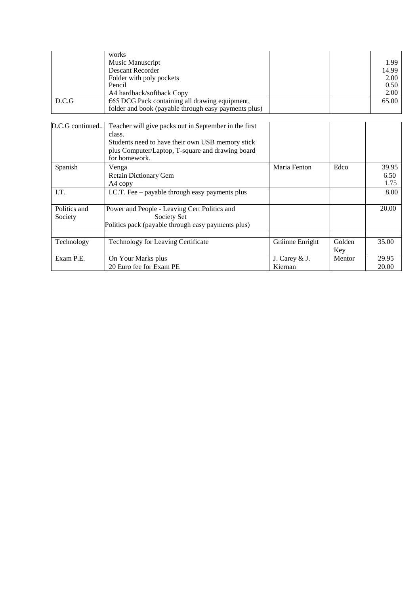| D.C.G                   | works<br>Music Manuscript<br><b>Descant Recorder</b><br>Folder with poly pockets<br>Pencil<br>A4 hardback/softback Copy<br>€65 DCG Pack containing all drawing equipment,                |                 |        | 1.99<br>14.99<br>2.00<br>0.50<br>2.00<br>65.00 |
|-------------------------|------------------------------------------------------------------------------------------------------------------------------------------------------------------------------------------|-----------------|--------|------------------------------------------------|
|                         | folder and book (payable through easy payments plus)                                                                                                                                     |                 |        |                                                |
|                         |                                                                                                                                                                                          |                 |        |                                                |
| D.C.G continued         | Teacher will give packs out in September in the first<br>class.<br>Students need to have their own USB memory stick<br>plus Computer/Laptop, T-square and drawing board<br>for homework. |                 |        |                                                |
| Spanish                 | Venga<br><b>Retain Dictionary Gem</b>                                                                                                                                                    | Maria Fenton    | Edco   | 39.95<br>6.50                                  |
|                         | A4 copy                                                                                                                                                                                  |                 |        | 1.75                                           |
| I.T.                    | I.C.T. Fee – payable through easy payments plus                                                                                                                                          |                 |        | 8.00                                           |
| Politics and<br>Society | Power and People - Leaving Cert Politics and<br>Society Set<br>Politics pack (payable through easy payments plus)                                                                        |                 |        | 20.00                                          |
|                         |                                                                                                                                                                                          |                 | Golden |                                                |
| Technology              | <b>Technology for Leaving Certificate</b>                                                                                                                                                | Gráinne Enright | Key    | 35.00                                          |
| Exam P.E.               | On Your Marks plus                                                                                                                                                                       | J. Carey & J.   | Mentor | 29.95                                          |
|                         | 20 Euro fee for Exam PE                                                                                                                                                                  | Kiernan         |        | 20.00                                          |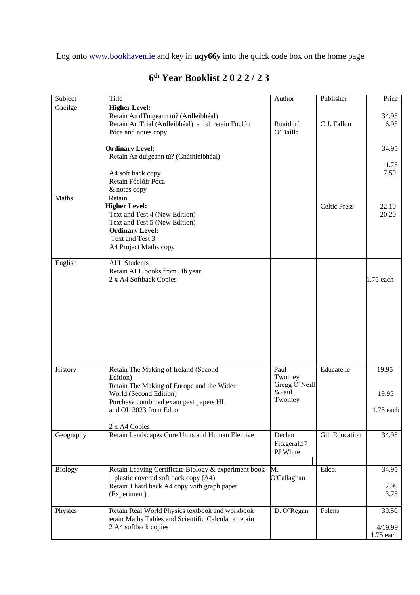Log onto [www.bookhaven.ie](http://www.bookhaven.ie/) and key in **uqy66y** into the quick code box on the home page

| Subject        | Title                                                                                                                                                                                     | Author                                             | Publisher             | Price                           |
|----------------|-------------------------------------------------------------------------------------------------------------------------------------------------------------------------------------------|----------------------------------------------------|-----------------------|---------------------------------|
| Gaeilge        | <b>Higher Level:</b><br>Retain An dTuigeann tú? (Ardleibhéal)<br>Retain An Trial (Ardleibhéal) and retain Fóclóir<br>Póca and notes copy                                                  | Ruaidhrí<br>O'Baille                               | C.J. Fallon           | 34.95<br>6.95                   |
|                | <b>Ordinary Level:</b><br>Retain An duigeann tú? (Gnáthleibhéal)                                                                                                                          |                                                    |                       | 34.95                           |
|                |                                                                                                                                                                                           |                                                    |                       | 1.75                            |
|                | A4 soft back copy<br>Retain Fóclóir Póca<br>& notes copy                                                                                                                                  |                                                    |                       | 7.50                            |
| Maths          | Retain<br><b>Higher Level:</b><br>Text and Test 4 (New Edition)<br>Text and Test 5 (New Edition)<br><b>Ordinary Level:</b><br>Text and Test 3<br>A4 Project Maths copy                    |                                                    | <b>Celtic Press</b>   | 22.10<br>20.20                  |
| English        | <b>ALL Students</b><br>Retain ALL books from 5th year<br>2 x A4 Softback Copies                                                                                                           |                                                    |                       | 1.75 each                       |
|                |                                                                                                                                                                                           |                                                    |                       |                                 |
| History        | Retain The Making of Ireland (Second<br>Edition)<br>Retain The Making of Europe and the Wider<br>World (Second Edition)<br>Purchase combined exam past papers HL<br>and OL 2023 from Edco | Paul<br>Twomey<br>Gregg O'Neill<br>&Paul<br>Twomey | Educate.ie            | 19.95<br>19.95<br>$1.75$ each   |
| Geography      | 2 x A4 Copies<br>Retain Landscapes Core Units and Human Elective                                                                                                                          | Declan<br>Fitzgerald 7<br>PJ White                 | <b>Gill Education</b> | 34.95                           |
| <b>Biology</b> | Retain Leaving Certificate Biology & experiment book<br>1 plastic covered soft back copy (A4)<br>Retain 1 hard back A4 copy with graph paper<br>(Experiment)                              | M.<br>O'Callaghan                                  | Edco.                 | 34.95<br>2.99<br>3.75           |
| Physics        | Retain Real World Physics textbook and workbook<br>retain Maths Tables and Scientific Calculator retain<br>2 A4 softback copies                                                           | D. O'Regan                                         | Folens                | 39.50<br>4/19.99<br>$1.75$ each |

## **6 th Year Booklist 2 0 2 2 / 2 3**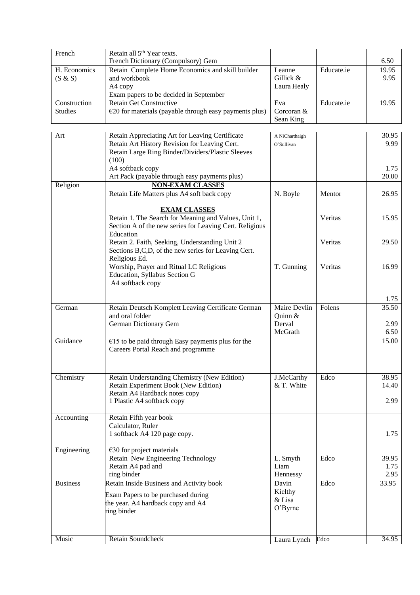| French                  | Retain all 5 <sup>th</sup> Year texts.<br>French Dictionary (Compulsory) Gem                                                                          |                                       |            | 6.50          |
|-------------------------|-------------------------------------------------------------------------------------------------------------------------------------------------------|---------------------------------------|------------|---------------|
| H. Economics<br>(S & S) | Retain Complete Home Economics and skill builder<br>and workbook                                                                                      | Leanne<br>Gillick &                   | Educate.ie | 19.95<br>9.95 |
|                         | A4 copy<br>Exam papers to be decided in September                                                                                                     | Laura Healy                           |            |               |
| Construction            | <b>Retain Get Constructive</b>                                                                                                                        | Eva                                   | Educate.ie | 19.95         |
| <b>Studies</b>          | $E20$ for materials (payable through easy payments plus)                                                                                              | Corcoran &<br>Sean King               |            |               |
| Art                     | Retain Appreciating Art for Leaving Certificate<br>Retain Art History Revision for Leaving Cert.<br>Retain Large Ring Binder/Dividers/Plastic Sleeves | A NiCharthaigh<br>O'Sullivan          |            | 30.95<br>9.99 |
|                         | (100)<br>A4 softback copy                                                                                                                             |                                       |            | 1.75          |
|                         | Art Pack (payable through easy payments plus)                                                                                                         |                                       |            | 20.00         |
| Religion                | <b>NON-EXAM CLASSES</b>                                                                                                                               |                                       |            |               |
|                         | Retain Life Matters plus A4 soft back copy                                                                                                            | N. Boyle                              | Mentor     | 26.95         |
|                         | <b>EXAM CLASSES</b><br>Retain 1. The Search for Meaning and Values, Unit 1,<br>Section A of the new series for Leaving Cert. Religious<br>Education   |                                       | Veritas    | 15.95         |
|                         | Retain 2. Faith, Seeking, Understanding Unit 2<br>Sections B,C,D, of the new series for Leaving Cert.                                                 |                                       | Veritas    | 29.50         |
|                         | Religious Ed.<br>Worship, Prayer and Ritual LC Religious<br>Education, Syllabus Section G<br>A4 softback copy                                         | T. Gunning                            | Veritas    | 16.99         |
|                         |                                                                                                                                                       |                                       |            | 1.75          |
| German                  | Retain Deutsch Komplett Leaving Certificate German<br>and oral folder                                                                                 | <b>Maire Devlin</b><br>Quinn &        | Folens     | 35.50         |
|                         | German Dictionary Gem                                                                                                                                 | Derval                                |            | 2.99          |
|                         |                                                                                                                                                       | McGrath                               |            | 6.50          |
| Guidance                | $€15$ to be paid through Easy payments plus for the<br>Careers Portal Reach and programme                                                             |                                       |            | 15.00         |
| Chemistry               | Retain Understanding Chemistry (New Edition)                                                                                                          | J.McCarthy                            | Edco       | 38.95         |
|                         | Retain Experiment Book (New Edition)<br>Retain A4 Hardback notes copy<br>1 Plastic A4 softback copy                                                   | & T. White                            |            | 14.40<br>2.99 |
|                         |                                                                                                                                                       |                                       |            |               |
| Accounting              | Retain Fifth year book<br>Calculator, Ruler<br>1 softback A4 120 page copy.                                                                           |                                       |            | 1.75          |
| Engineering             | $€30$ for project materials<br>Retain New Engineering Technology<br>Retain A4 pad and                                                                 | L. Smyth<br>Liam                      | Edco       | 39.95<br>1.75 |
|                         | ring binder                                                                                                                                           | Hennessy                              |            | 2.95          |
| <b>Business</b>         | Retain Inside Business and Activity book<br>Exam Papers to be purchased during<br>the year. A4 hardback copy and A4<br>ring binder                    | Davin<br>Kielthy<br>& Lisa<br>O'Byrne | Edco       | 33.95         |
| Music                   | <b>Retain Soundcheck</b>                                                                                                                              | Laura Lynch                           | Edco       | 34.95         |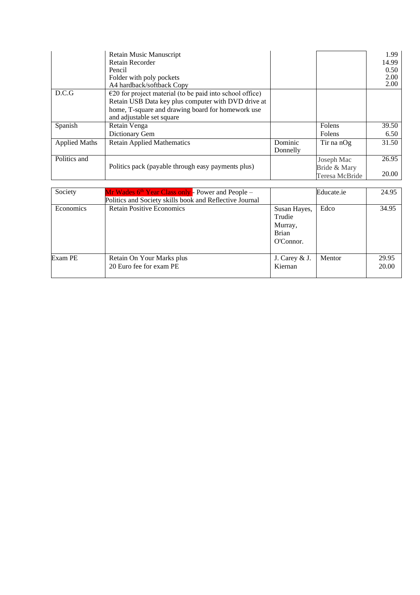|                      | Retain Music Manuscript<br>Retain Recorder<br>Pencil<br>Folder with poly pockets<br>A4 hardback/softback Copy                                                                                               |                     |                                              | 1.99<br>14.99<br>0.50<br>2.00<br>2.00 |
|----------------------|-------------------------------------------------------------------------------------------------------------------------------------------------------------------------------------------------------------|---------------------|----------------------------------------------|---------------------------------------|
| D.C.G                | $\epsilon$ 20 for project material (to be paid into school office)<br>Retain USB Data key plus computer with DVD drive at<br>home, T-square and drawing board for homework use<br>and adjustable set square |                     |                                              |                                       |
| Spanish              | Retain Venga<br>Dictionary Gem                                                                                                                                                                              |                     | Folens<br>Folens                             | 39.50<br>6.50                         |
| <b>Applied Maths</b> | <b>Retain Applied Mathematics</b>                                                                                                                                                                           | Dominic<br>Donnelly | Tir na n $Og$                                | 31.50                                 |
| Politics and         | Politics pack (payable through easy payments plus)                                                                                                                                                          |                     | Joseph Mac<br>Bride & Mary<br>Teresa McBride | 26.95<br>20.00                        |

| Society   | Mr Wades 6 <sup>th</sup> Year Class only - Power and People –<br>Politics and Society skills book and Reflective Journal |                                                                | Educate.ie | 24.95          |
|-----------|--------------------------------------------------------------------------------------------------------------------------|----------------------------------------------------------------|------------|----------------|
| Economics | <b>Retain Positive Economics</b>                                                                                         | Susan Hayes,<br>Trudie<br>Murray,<br><b>Brian</b><br>O'Connor. | Edco       | 34.95          |
| Exam PE   | Retain On Your Marks plus<br>20 Euro fee for exam PE                                                                     | J. Carey & J.<br>Kiernan                                       | Mentor     | 29.95<br>20.00 |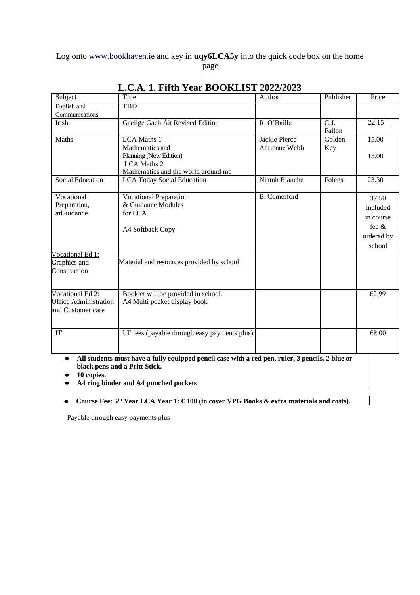#### Log onto [www.bookhaven.ie](http://www.bookhaven.ie/) and key in **uqy6LCA5y** into the quick code box on the home page

| Subject                      | Title                                                       | Author              | Publisher                   | Price      |
|------------------------------|-------------------------------------------------------------|---------------------|-----------------------------|------------|
| English and                  | TBD                                                         |                     |                             |            |
| Communications               |                                                             |                     |                             |            |
| Irish                        | Gaeilge Gach Áit Revised Edition                            | R. O'Baille         | $\overline{C.J.}$<br>Fallon | 22.15      |
| Maths                        | <b>LCA</b> Maths 1                                          | Jackie Pierce       | Golden                      | 15.00      |
|                              | Mathematics and                                             | Adrienne Webb       | Key                         |            |
|                              | Planning (New Edition)                                      |                     |                             | 15.00      |
|                              | <b>LCA</b> Maths 2                                          |                     |                             |            |
|                              | Mathematics and the world around me                         |                     |                             |            |
| <b>Social Education</b>      | <b>LCA Today Social Education</b>                           | Niamh Blanche       | Folens                      | 23.30      |
| Vocational                   | <b>Vocational Preparation</b>                               | <b>B.</b> Comerford |                             | 37.50      |
| Preparation,                 | & Guidance Modules                                          |                     |                             | Included   |
| anGuidance                   | for LCA                                                     |                     |                             |            |
|                              |                                                             |                     |                             | in course  |
|                              | A4 Softback Copy                                            |                     |                             | fee $\&$   |
|                              |                                                             |                     |                             | ordered by |
|                              |                                                             |                     |                             | school     |
| Vocational Ed 1:             |                                                             |                     |                             |            |
| Graphics and                 | Material and resources provided by school                   |                     |                             |            |
| Construction                 |                                                             |                     |                             |            |
|                              |                                                             |                     |                             |            |
| Vocational Ed 2:             | Booklet will be provided in school.                         |                     |                             | €2.99      |
| <b>Office Administration</b> | A4 Multi pocket display book                                |                     |                             |            |
| and Customer care            |                                                             |                     |                             |            |
|                              |                                                             |                     |                             |            |
| IT                           | I.T fees (payable through easy payments plus)               |                     |                             | €8.00      |
|                              |                                                             |                     |                             |            |
| $\mathbf{r}$                 | $\bullet$<br>$\sim$ $\sim$<br>0.33<br>$\bullet$ . $\bullet$ | $\sim$<br>$\bullet$ | $\sim$ $\sim$ $\sim$        |            |

# **L.C.A. 1. Fifth Year BOOKLIST 2022/2023**

• All students must have a fully equipped pencil case with a red pen, ruler, 3 pencils, 2 blue or **black pens and a Pritt Stick.**

● **10 copies.**

● **A4 ring binder and A4 punched pockets**

● **Course Fee: 5 th Year LCA Year 1: € 100 (to cover VPG Books & extra materials and costs).**

Payable through easy payments plus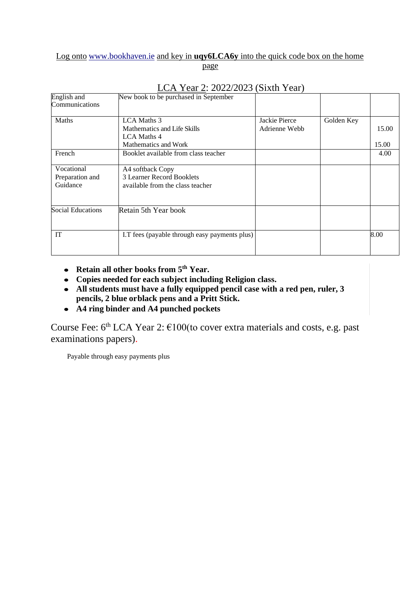### Log onto [www.bookhaven.ie](http://www.bookhaven.ie/) and key in **uqy6LCA6y** into the quick code box on the home

page

| English and<br>Communications | New book to be purchased in September         |               |            |       |
|-------------------------------|-----------------------------------------------|---------------|------------|-------|
|                               |                                               |               |            |       |
| Maths                         | LCA Maths 3                                   | Jackie Pierce | Golden Key |       |
|                               | Mathematics and Life Skills                   | Adrienne Webb |            | 15.00 |
|                               | LCA Maths 4                                   |               |            |       |
|                               | Mathematics and Work                          |               |            | 15.00 |
| French                        | Booklet available from class teacher          |               |            | 4.00  |
| Vocational                    | A4 softback Copy                              |               |            |       |
| Preparation and               | 3 Learner Record Booklets                     |               |            |       |
| Guidance                      | available from the class teacher              |               |            |       |
|                               |                                               |               |            |       |
| Social Educations             | Retain 5th Year book                          |               |            |       |
| IT                            | I.T fees (payable through easy payments plus) |               |            | 8.00  |

### LCA Year 2: 2022/2023 (Sixth Year)

- **Retain all other books from 5 th Year.**
- **Copies needed for each subject including Religion class.**
- **All students must have a fully equipped pencil case with a red pen, ruler, 3 pencils, 2 blue orblack pens and a Pritt Stick.**
- **A4 ring binder and A4 punched pockets**

Course Fee:  $6<sup>th</sup> LCA Year$  2:  $€100$ (to cover extra materials and costs, e.g. past examinations papers).

Payable through easy payments plus